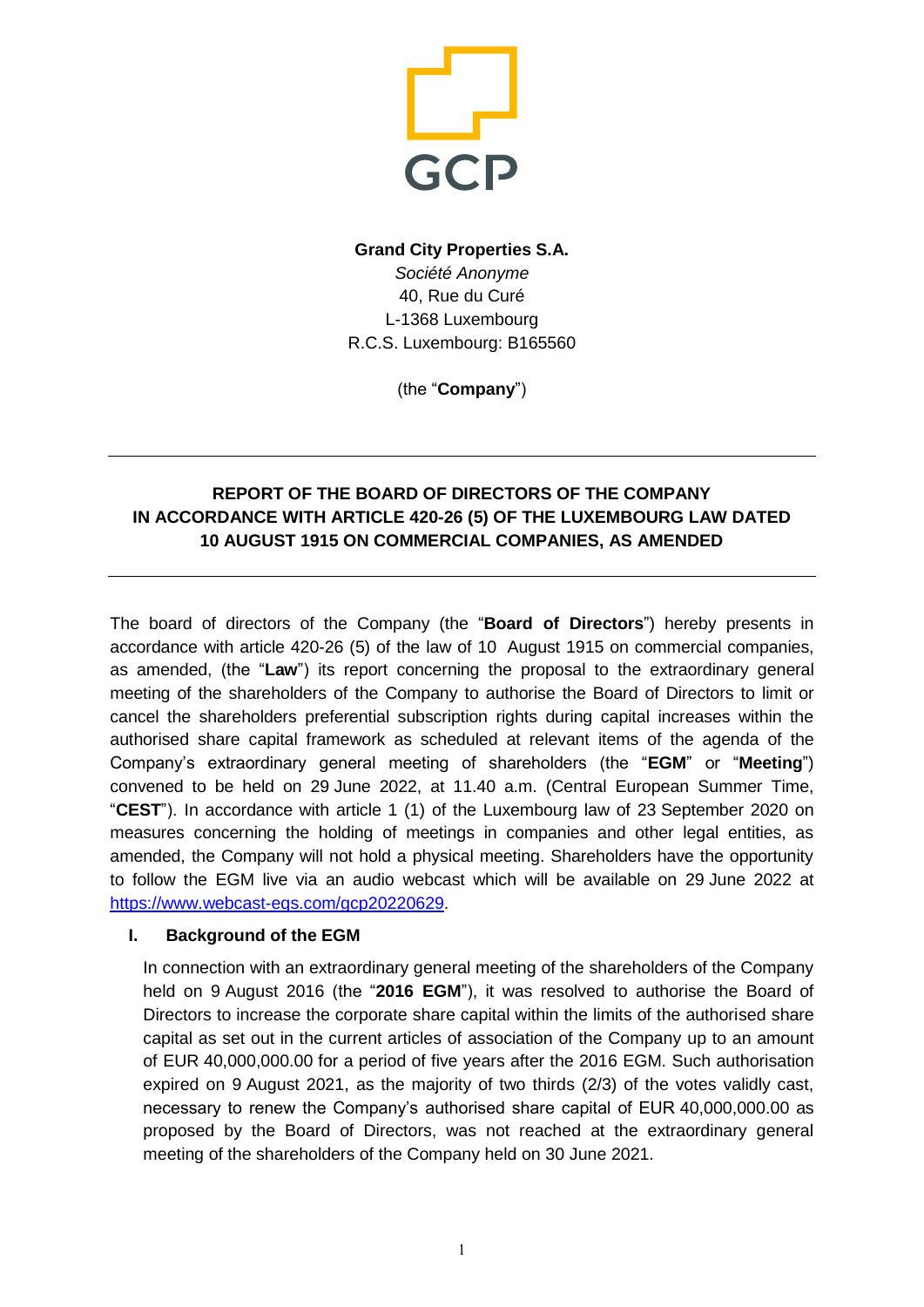

# **Grand City Properties S.A.** *Société Anonyme* 40, Rue du Curé L-1368 Luxembourg R.C.S. Luxembourg: B165560

(the "**Company**")

# **REPORT OF THE BOARD OF DIRECTORS OF THE COMPANY IN ACCORDANCE WITH ARTICLE 420-26 (5) OF THE LUXEMBOURG LAW DATED 10 AUGUST 1915 ON COMMERCIAL COMPANIES, AS AMENDED**

The board of directors of the Company (the "**Board of Directors**") hereby presents in accordance with article 420-26 (5) of the law of 10 August 1915 on commercial companies, as amended, (the "**Law**") its report concerning the proposal to the extraordinary general meeting of the shareholders of the Company to authorise the Board of Directors to limit or cancel the shareholders preferential subscription rights during capital increases within the authorised share capital framework as scheduled at relevant items of the agenda of the Company's extraordinary general meeting of shareholders (the "**EGM**" or "**Meeting**") convened to be held on 29 June 2022, at 11.40 a.m. (Central European Summer Time, "**CEST**"). In accordance with article 1 (1) of the Luxembourg law of 23 September 2020 on measures concerning the holding of meetings in companies and other legal entities, as amended, the Company will not hold a physical meeting. Shareholders have the opportunity to follow the EGM live via an audio webcast which will be available on 29 June 2022 at [https://www.webcast-eqs.com/gcp20220629.](https://www.webcast-eqs.com/gcp20220629)

## **I. Background of the EGM**

In connection with an extraordinary general meeting of the shareholders of the Company held on 9 August 2016 (the "**2016 EGM**"), it was resolved to authorise the Board of Directors to increase the corporate share capital within the limits of the authorised share capital as set out in the current articles of association of the Company up to an amount of EUR 40,000,000.00 for a period of five years after the 2016 EGM. Such authorisation expired on 9 August 2021, as the majority of two thirds (2/3) of the votes validly cast, necessary to renew the Company's authorised share capital of EUR 40,000,000.00 as proposed by the Board of Directors, was not reached at the extraordinary general meeting of the shareholders of the Company held on 30 June 2021.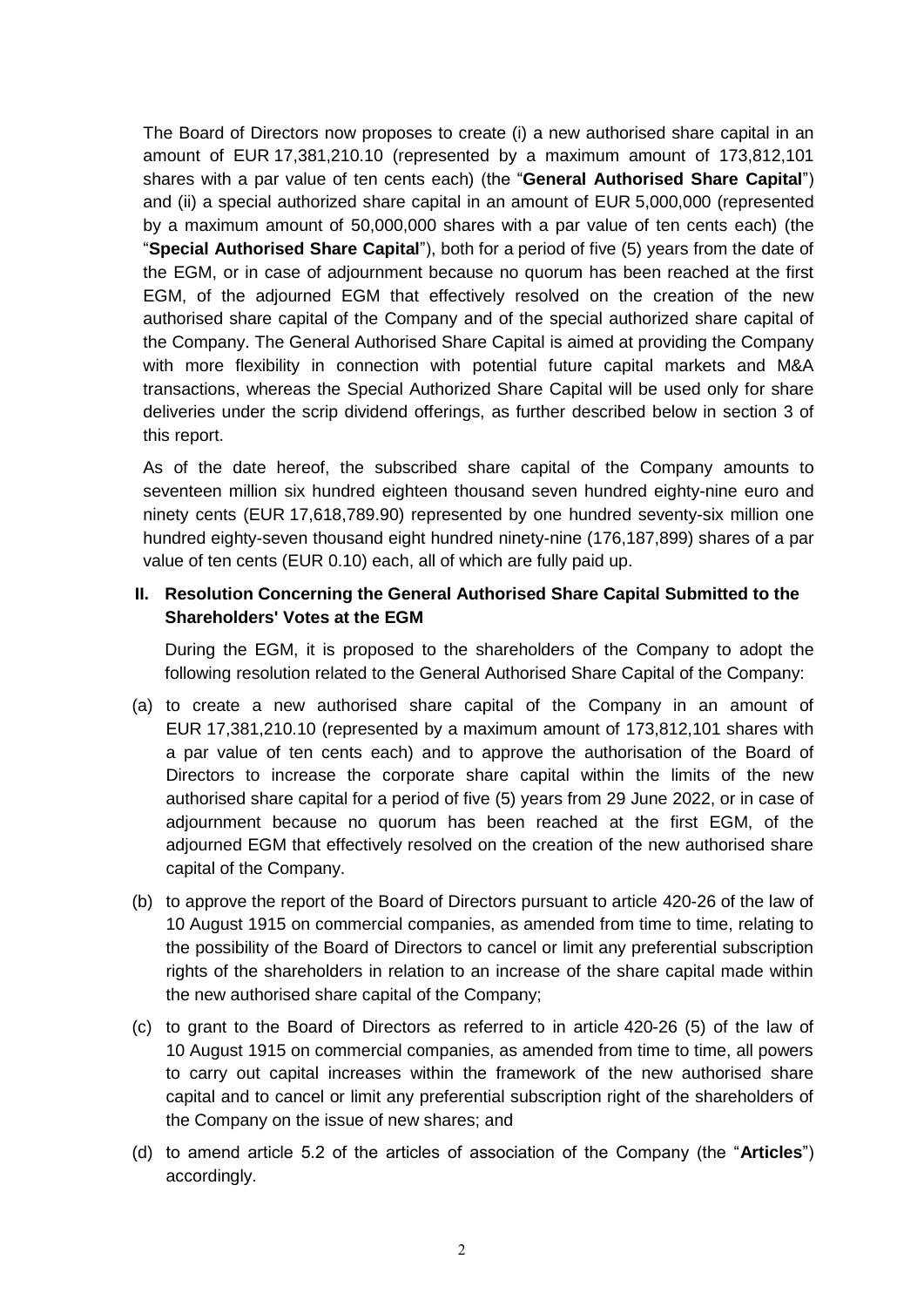The Board of Directors now proposes to create (i) a new authorised share capital in an amount of EUR 17,381,210.10 (represented by a maximum amount of 173,812,101 shares with a par value of ten cents each) (the "**General Authorised Share Capital**") and (ii) a special authorized share capital in an amount of EUR 5,000,000 (represented by a maximum amount of 50,000,000 shares with a par value of ten cents each) (the "**Special Authorised Share Capital**"), both for a period of five (5) years from the date of the EGM, or in case of adjournment because no quorum has been reached at the first EGM, of the adjourned EGM that effectively resolved on the creation of the new authorised share capital of the Company and of the special authorized share capital of the Company. The General Authorised Share Capital is aimed at providing the Company with more flexibility in connection with potential future capital markets and M&A transactions, whereas the Special Authorized Share Capital will be used only for share deliveries under the scrip dividend offerings, as further described below in section 3 of this report.

As of the date hereof, the subscribed share capital of the Company amounts to seventeen million six hundred eighteen thousand seven hundred eighty-nine euro and ninety cents (EUR 17,618,789.90) represented by one hundred seventy-six million one hundred eighty-seven thousand eight hundred ninety-nine (176,187,899) shares of a par value of ten cents (EUR 0.10) each, all of which are fully paid up.

## **II. Resolution Concerning the General Authorised Share Capital Submitted to the Shareholders' Votes at the EGM**

During the EGM, it is proposed to the shareholders of the Company to adopt the following resolution related to the General Authorised Share Capital of the Company:

- (a) to create a new authorised share capital of the Company in an amount of EUR 17,381,210.10 (represented by a maximum amount of 173,812,101 shares with a par value of ten cents each) and to approve the authorisation of the Board of Directors to increase the corporate share capital within the limits of the new authorised share capital for a period of five (5) years from 29 June 2022, or in case of adjournment because no quorum has been reached at the first EGM, of the adjourned EGM that effectively resolved on the creation of the new authorised share capital of the Company.
- (b) to approve the report of the Board of Directors pursuant to article 420-26 of the law of 10 August 1915 on commercial companies, as amended from time to time, relating to the possibility of the Board of Directors to cancel or limit any preferential subscription rights of the shareholders in relation to an increase of the share capital made within the new authorised share capital of the Company;
- (c) to grant to the Board of Directors as referred to in article 420-26 (5) of the law of 10 August 1915 on commercial companies, as amended from time to time, all powers to carry out capital increases within the framework of the new authorised share capital and to cancel or limit any preferential subscription right of the shareholders of the Company on the issue of new shares; and
- (d) to amend article 5.2 of the articles of association of the Company (the "**Articles**") accordingly.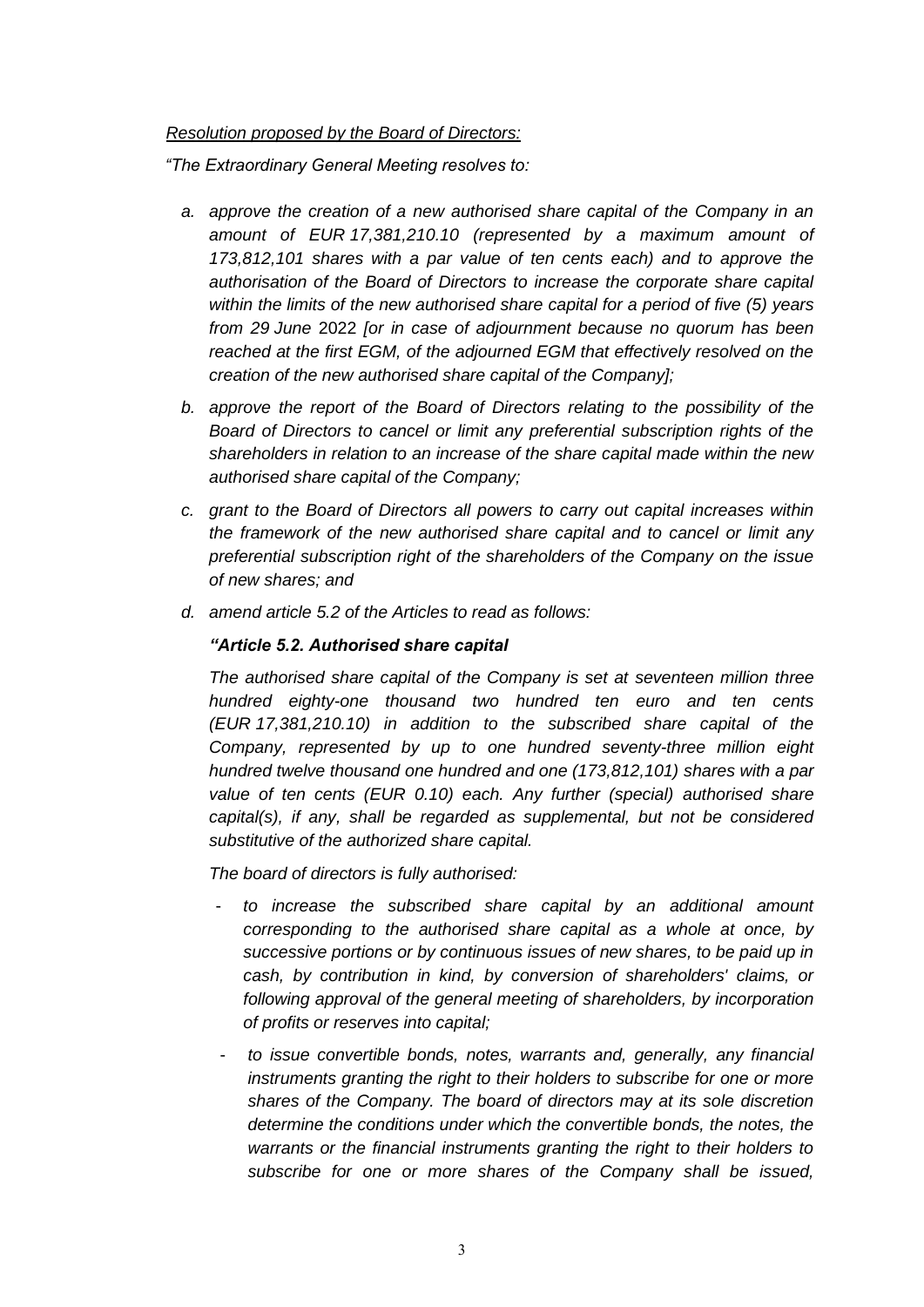## *Resolution proposed by the Board of Directors:*

*"The Extraordinary General Meeting resolves to:*

- *a. approve the creation of a new authorised share capital of the Company in an amount of EUR 17,381,210.10 (represented by a maximum amount of 173,812,101 shares with a par value of ten cents each) and to approve the authorisation of the Board of Directors to increase the corporate share capital within the limits of the new authorised share capital for a period of five (5) years from 29 June* 2022 *[or in case of adjournment because no quorum has been*  reached at the first EGM, of the adjourned EGM that effectively resolved on the *creation of the new authorised share capital of the Company];*
- *b. approve the report of the Board of Directors relating to the possibility of the Board of Directors to cancel or limit any preferential subscription rights of the shareholders in relation to an increase of the share capital made within the new authorised share capital of the Company;*
- *c. grant to the Board of Directors all powers to carry out capital increases within the framework of the new authorised share capital and to cancel or limit any preferential subscription right of the shareholders of the Company on the issue of new shares; and*
- *d. amend article 5.2 of the Articles to read as follows:*

### *"Article 5.2. Authorised share capital*

*The authorised share capital of the Company is set at seventeen million three hundred eighty-one thousand two hundred ten euro and ten cents (EUR 17,381,210.10) in addition to the subscribed share capital of the Company, represented by up to one hundred seventy-three million eight hundred twelve thousand one hundred and one (173,812,101) shares with a par value of ten cents (EUR 0.10) each. Any further (special) authorised share capital(s), if any, shall be regarded as supplemental, but not be considered substitutive of the authorized share capital.* 

*The board of directors is fully authorised:*

- *to increase the subscribed share capital by an additional amount corresponding to the authorised share capital as a whole at once, by successive portions or by continuous issues of new shares, to be paid up in cash, by contribution in kind, by conversion of shareholders' claims, or following approval of the general meeting of shareholders, by incorporation of profits or reserves into capital;*
- to issue convertible bonds, notes, warrants and, generally, any financial *instruments granting the right to their holders to subscribe for one or more shares of the Company. The board of directors may at its sole discretion*  determine the conditions under which the convertible bonds, the notes, the *warrants or the financial instruments granting the right to their holders to subscribe for one or more shares of the Company shall be issued,*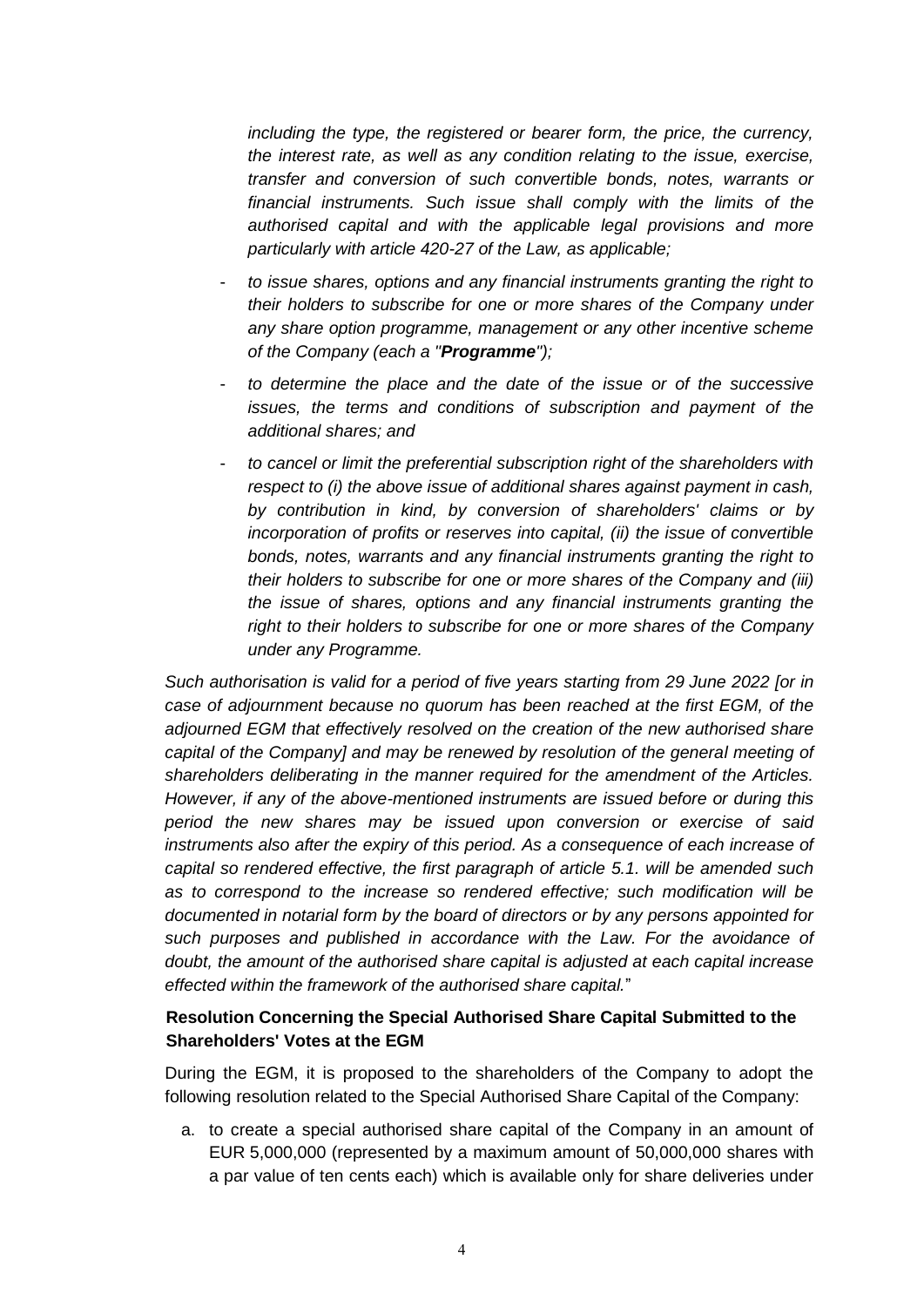*including the type, the registered or bearer form, the price, the currency, the interest rate, as well as any condition relating to the issue, exercise, transfer and conversion of such convertible bonds, notes, warrants or financial instruments. Such issue shall comply with the limits of the authorised capital and with the applicable legal provisions and more particularly with article 420-27 of the Law, as applicable;* 

- *to issue shares, options and any financial instruments granting the right to their holders to subscribe for one or more shares of the Company under any share option programme, management or any other incentive scheme of the Company (each a "Programme");*
- *to determine the place and the date of the issue or of the successive issues, the terms and conditions of subscription and payment of the additional shares; and*
- *to cancel or limit the preferential subscription right of the shareholders with respect to (i) the above issue of additional shares against payment in cash, by contribution in kind, by conversion of shareholders' claims or by incorporation of profits or reserves into capital, (ii) the issue of convertible bonds, notes, warrants and any financial instruments granting the right to their holders to subscribe for one or more shares of the Company and (iii) the issue of shares, options and any financial instruments granting the right to their holders to subscribe for one or more shares of the Company under any Programme.*

*Such authorisation is valid for a period of five years starting from 29 June 2022 [or in case of adjournment because no quorum has been reached at the first EGM, of the adjourned EGM that effectively resolved on the creation of the new authorised share*  capital of the Company] and may be renewed by resolution of the general meeting of *shareholders deliberating in the manner required for the amendment of the Articles. However, if any of the above-mentioned instruments are issued before or during this period the new shares may be issued upon conversion or exercise of said instruments also after the expiry of this period. As a consequence of each increase of capital so rendered effective, the first paragraph of article 5.1. will be amended such as to correspond to the increase so rendered effective; such modification will be documented in notarial form by the board of directors or by any persons appointed for such purposes and published in accordance with the Law. For the avoidance of doubt, the amount of the authorised share capital is adjusted at each capital increase effected within the framework of the authorised share capital.*"

## **Resolution Concerning the Special Authorised Share Capital Submitted to the Shareholders' Votes at the EGM**

During the EGM, it is proposed to the shareholders of the Company to adopt the following resolution related to the Special Authorised Share Capital of the Company:

a. to create a special authorised share capital of the Company in an amount of EUR 5,000,000 (represented by a maximum amount of 50,000,000 shares with a par value of ten cents each) which is available only for share deliveries under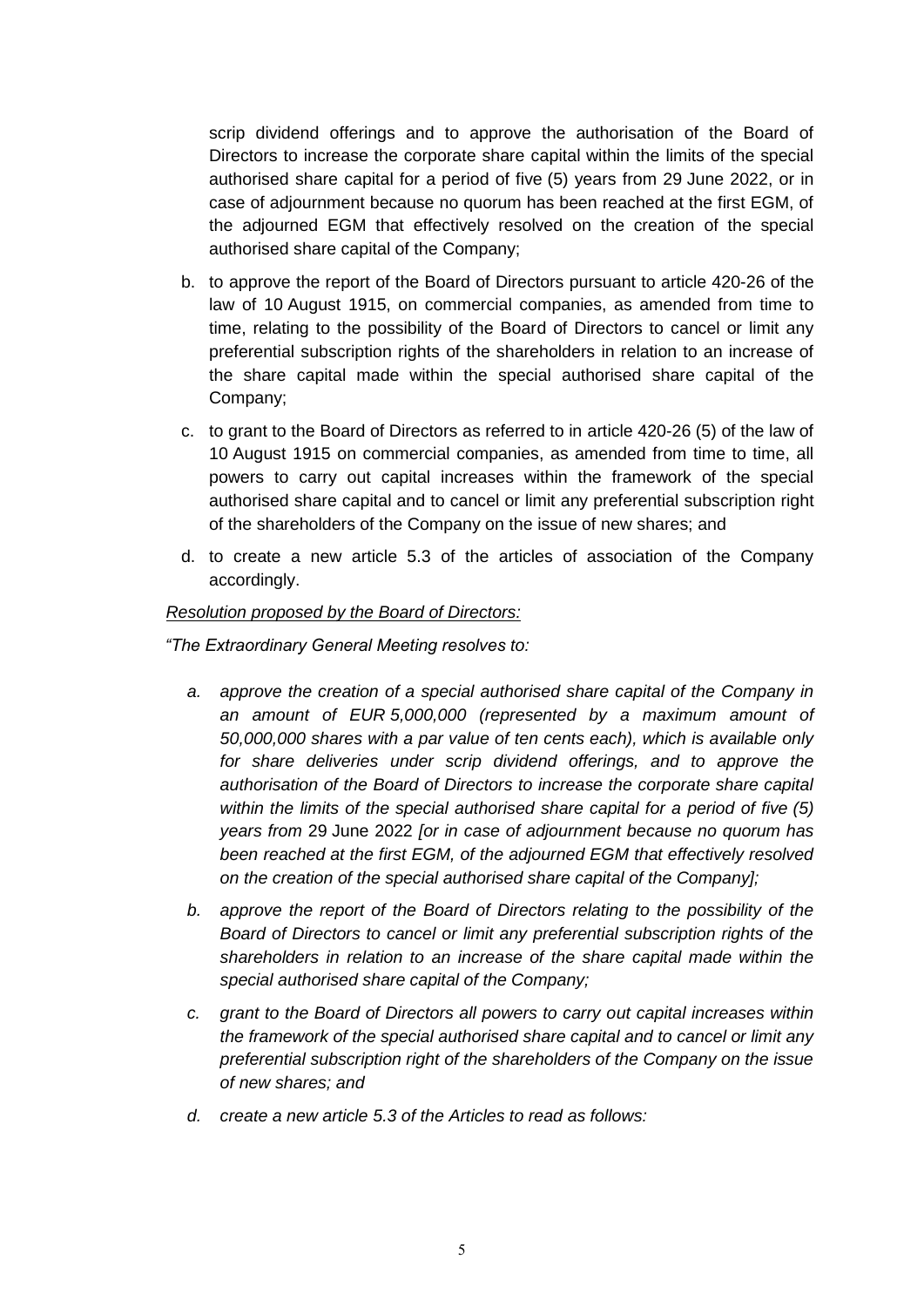scrip dividend offerings and to approve the authorisation of the Board of Directors to increase the corporate share capital within the limits of the special authorised share capital for a period of five (5) years from 29 June 2022, or in case of adjournment because no quorum has been reached at the first EGM, of the adjourned EGM that effectively resolved on the creation of the special authorised share capital of the Company;

- b. to approve the report of the Board of Directors pursuant to article 420-26 of the law of 10 August 1915, on commercial companies, as amended from time to time, relating to the possibility of the Board of Directors to cancel or limit any preferential subscription rights of the shareholders in relation to an increase of the share capital made within the special authorised share capital of the Company;
- c. to grant to the Board of Directors as referred to in article 420-26 (5) of the law of 10 August 1915 on commercial companies, as amended from time to time, all powers to carry out capital increases within the framework of the special authorised share capital and to cancel or limit any preferential subscription right of the shareholders of the Company on the issue of new shares; and
- d. to create a new article 5.3 of the articles of association of the Company accordingly.

#### *Resolution proposed by the Board of Directors:*

*"The Extraordinary General Meeting resolves to:*

- *a. approve the creation of a special authorised share capital of the Company in an amount of EUR 5,000,000 (represented by a maximum amount of 50,000,000 shares with a par value of ten cents each), which is available only for share deliveries under scrip dividend offerings, and to approve the authorisation of the Board of Directors to increase the corporate share capital within the limits of the special authorised share capital for a period of five (5) years from* 29 June 2022 *[or in case of adjournment because no quorum has been reached at the first EGM, of the adjourned EGM that effectively resolved on the creation of the special authorised share capital of the Company];*
- *b. approve the report of the Board of Directors relating to the possibility of the Board of Directors to cancel or limit any preferential subscription rights of the shareholders in relation to an increase of the share capital made within the special authorised share capital of the Company;*
- *c. grant to the Board of Directors all powers to carry out capital increases within the framework of the special authorised share capital and to cancel or limit any preferential subscription right of the shareholders of the Company on the issue of new shares; and*
- *d. create a new article 5.3 of the Articles to read as follows:*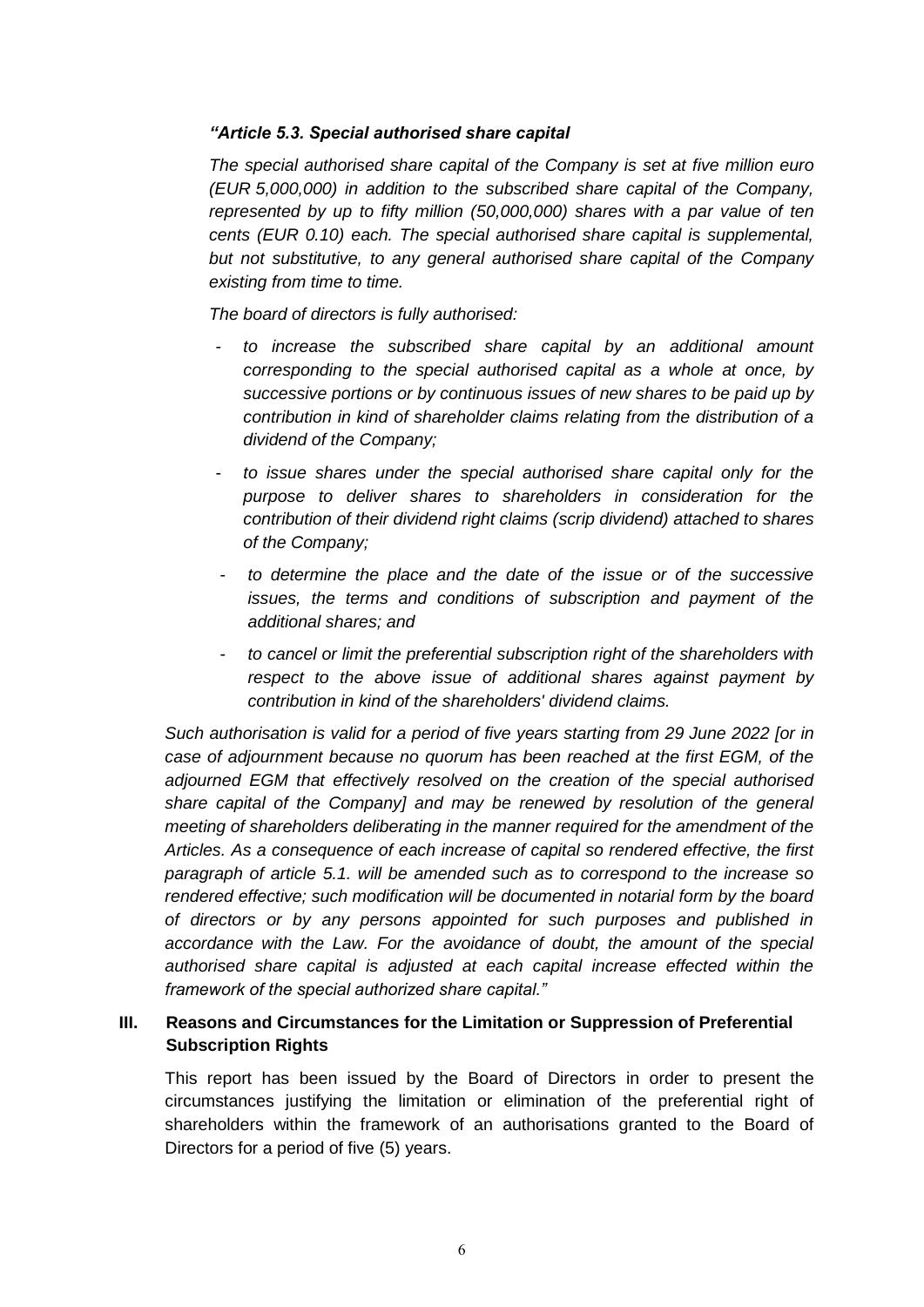## *"Article 5.3. Special authorised share capital*

*The special authorised share capital of the Company is set at five million euro (EUR 5,000,000) in addition to the subscribed share capital of the Company, represented by up to fifty million (50,000,000) shares with a par value of ten cents (EUR 0.10) each. The special authorised share capital is supplemental, but not substitutive, to any general authorised share capital of the Company existing from time to time.* 

*The board of directors is fully authorised:*

- *to increase the subscribed share capital by an additional amount corresponding to the special authorised capital as a whole at once, by successive portions or by continuous issues of new shares to be paid up by contribution in kind of shareholder claims relating from the distribution of a dividend of the Company;*
- *to issue shares under the special authorised share capital only for the purpose to deliver shares to shareholders in consideration for the contribution of their dividend right claims (scrip dividend) attached to shares of the Company;*
- *to determine the place and the date of the issue or of the successive issues, the terms and conditions of subscription and payment of the additional shares; and*
- *to cancel or limit the preferential subscription right of the shareholders with respect to the above issue of additional shares against payment by contribution in kind of the shareholders' dividend claims.*

*Such authorisation is valid for a period of five years starting from 29 June 2022 [or in case of adjournment because no quorum has been reached at the first EGM, of the adjourned EGM that effectively resolved on the creation of the special authorised share capital of the Company] and may be renewed by resolution of the general meeting of shareholders deliberating in the manner required for the amendment of the Articles. As a consequence of each increase of capital so rendered effective, the first paragraph of article 5.1. will be amended such as to correspond to the increase so rendered effective; such modification will be documented in notarial form by the board of directors or by any persons appointed for such purposes and published in*  accordance with the Law. For the avoidance of doubt, the amount of the special *authorised share capital is adjusted at each capital increase effected within the framework of the special authorized share capital."*

## **III. Reasons and Circumstances for the Limitation or Suppression of Preferential Subscription Rights**

This report has been issued by the Board of Directors in order to present the circumstances justifying the limitation or elimination of the preferential right of shareholders within the framework of an authorisations granted to the Board of Directors for a period of five (5) years.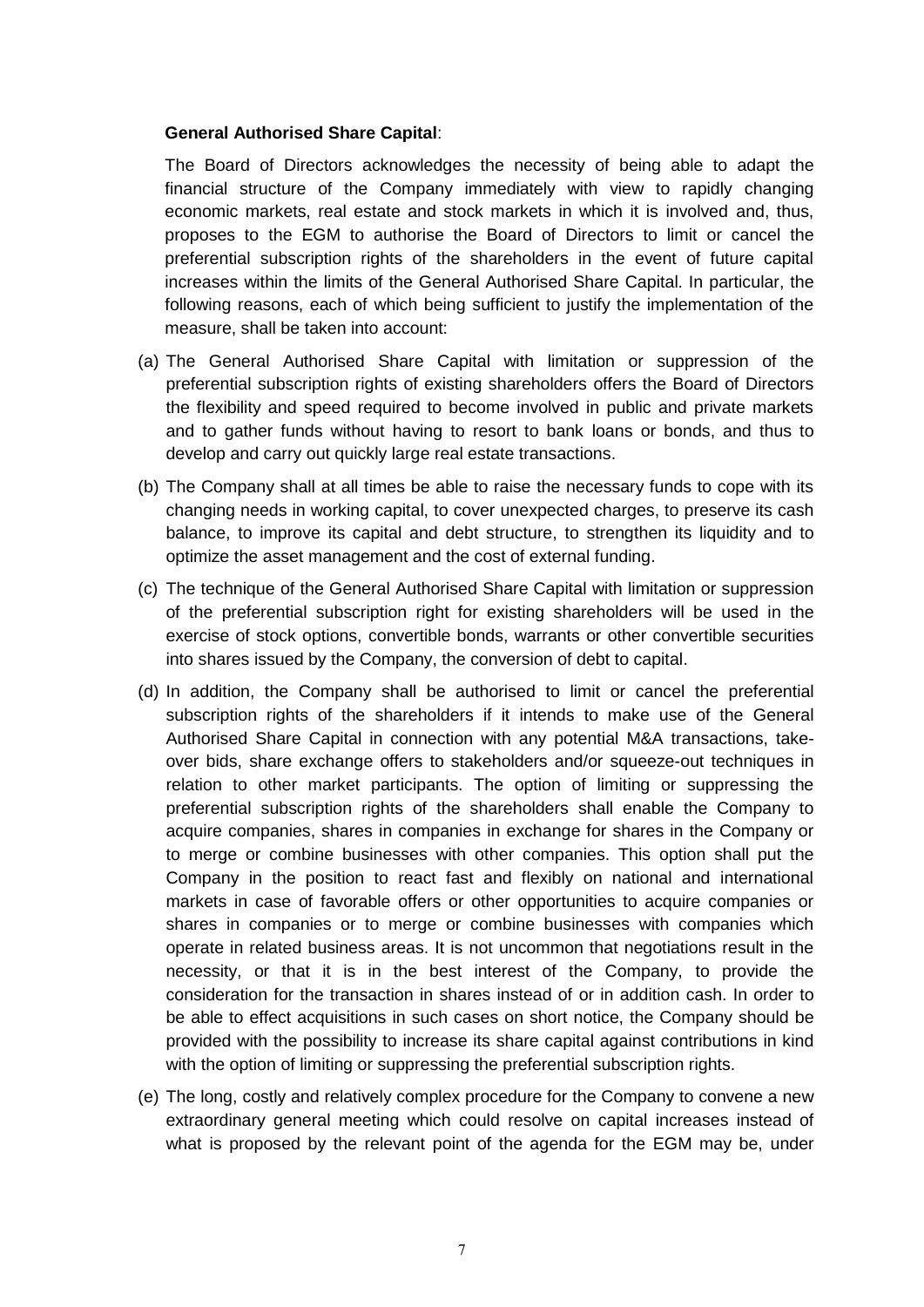## **General Authorised Share Capital**:

The Board of Directors acknowledges the necessity of being able to adapt the financial structure of the Company immediately with view to rapidly changing economic markets, real estate and stock markets in which it is involved and, thus, proposes to the EGM to authorise the Board of Directors to limit or cancel the preferential subscription rights of the shareholders in the event of future capital increases within the limits of the General Authorised Share Capital. In particular, the following reasons, each of which being sufficient to justify the implementation of the measure, shall be taken into account:

- (a) The General Authorised Share Capital with limitation or suppression of the preferential subscription rights of existing shareholders offers the Board of Directors the flexibility and speed required to become involved in public and private markets and to gather funds without having to resort to bank loans or bonds, and thus to develop and carry out quickly large real estate transactions.
- (b) The Company shall at all times be able to raise the necessary funds to cope with its changing needs in working capital, to cover unexpected charges, to preserve its cash balance, to improve its capital and debt structure, to strengthen its liquidity and to optimize the asset management and the cost of external funding.
- (c) The technique of the General Authorised Share Capital with limitation or suppression of the preferential subscription right for existing shareholders will be used in the exercise of stock options, convertible bonds, warrants or other convertible securities into shares issued by the Company, the conversion of debt to capital.
- (d) In addition, the Company shall be authorised to limit or cancel the preferential subscription rights of the shareholders if it intends to make use of the General Authorised Share Capital in connection with any potential M&A transactions, takeover bids, share exchange offers to stakeholders and/or squeeze-out techniques in relation to other market participants. The option of limiting or suppressing the preferential subscription rights of the shareholders shall enable the Company to acquire companies, shares in companies in exchange for shares in the Company or to merge or combine businesses with other companies. This option shall put the Company in the position to react fast and flexibly on national and international markets in case of favorable offers or other opportunities to acquire companies or shares in companies or to merge or combine businesses with companies which operate in related business areas. It is not uncommon that negotiations result in the necessity, or that it is in the best interest of the Company, to provide the consideration for the transaction in shares instead of or in addition cash. In order to be able to effect acquisitions in such cases on short notice, the Company should be provided with the possibility to increase its share capital against contributions in kind with the option of limiting or suppressing the preferential subscription rights.
- (e) The long, costly and relatively complex procedure for the Company to convene a new extraordinary general meeting which could resolve on capital increases instead of what is proposed by the relevant point of the agenda for the EGM may be, under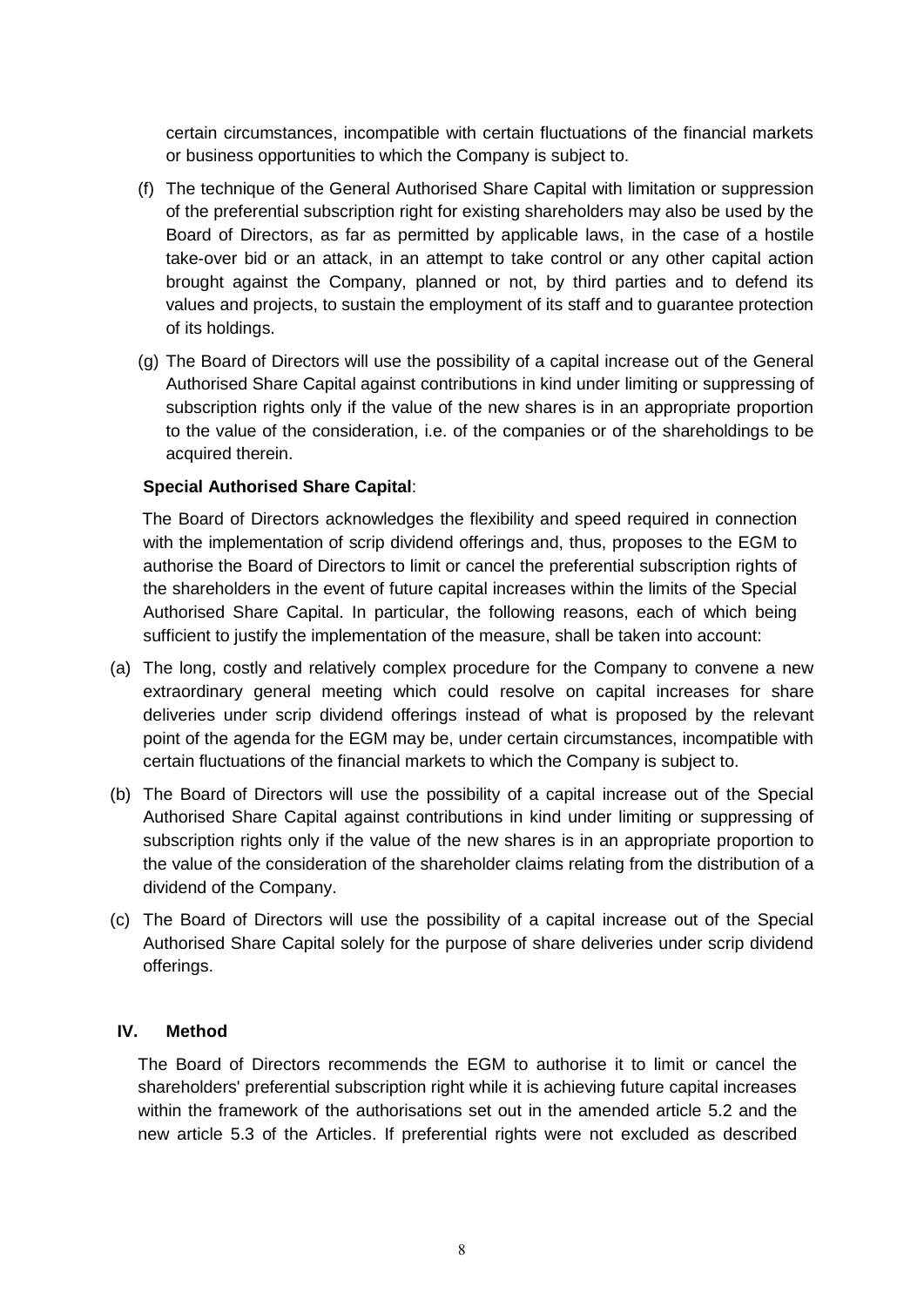certain circumstances, incompatible with certain fluctuations of the financial markets or business opportunities to which the Company is subject to.

- (f) The technique of the General Authorised Share Capital with limitation or suppression of the preferential subscription right for existing shareholders may also be used by the Board of Directors, as far as permitted by applicable laws, in the case of a hostile take-over bid or an attack, in an attempt to take control or any other capital action brought against the Company, planned or not, by third parties and to defend its values and projects, to sustain the employment of its staff and to guarantee protection of its holdings.
- (g) The Board of Directors will use the possibility of a capital increase out of the General Authorised Share Capital against contributions in kind under limiting or suppressing of subscription rights only if the value of the new shares is in an appropriate proportion to the value of the consideration, i.e. of the companies or of the shareholdings to be acquired therein.

## **Special Authorised Share Capital**:

The Board of Directors acknowledges the flexibility and speed required in connection with the implementation of scrip dividend offerings and, thus, proposes to the EGM to authorise the Board of Directors to limit or cancel the preferential subscription rights of the shareholders in the event of future capital increases within the limits of the Special Authorised Share Capital. In particular, the following reasons, each of which being sufficient to justify the implementation of the measure, shall be taken into account:

- (a) The long, costly and relatively complex procedure for the Company to convene a new extraordinary general meeting which could resolve on capital increases for share deliveries under scrip dividend offerings instead of what is proposed by the relevant point of the agenda for the EGM may be, under certain circumstances, incompatible with certain fluctuations of the financial markets to which the Company is subject to.
- (b) The Board of Directors will use the possibility of a capital increase out of the Special Authorised Share Capital against contributions in kind under limiting or suppressing of subscription rights only if the value of the new shares is in an appropriate proportion to the value of the consideration of the shareholder claims relating from the distribution of a dividend of the Company.
- (c) The Board of Directors will use the possibility of a capital increase out of the Special Authorised Share Capital solely for the purpose of share deliveries under scrip dividend offerings.

## **IV. Method**

The Board of Directors recommends the EGM to authorise it to limit or cancel the shareholders' preferential subscription right while it is achieving future capital increases within the framework of the authorisations set out in the amended article 5.2 and the new article 5.3 of the Articles. If preferential rights were not excluded as described